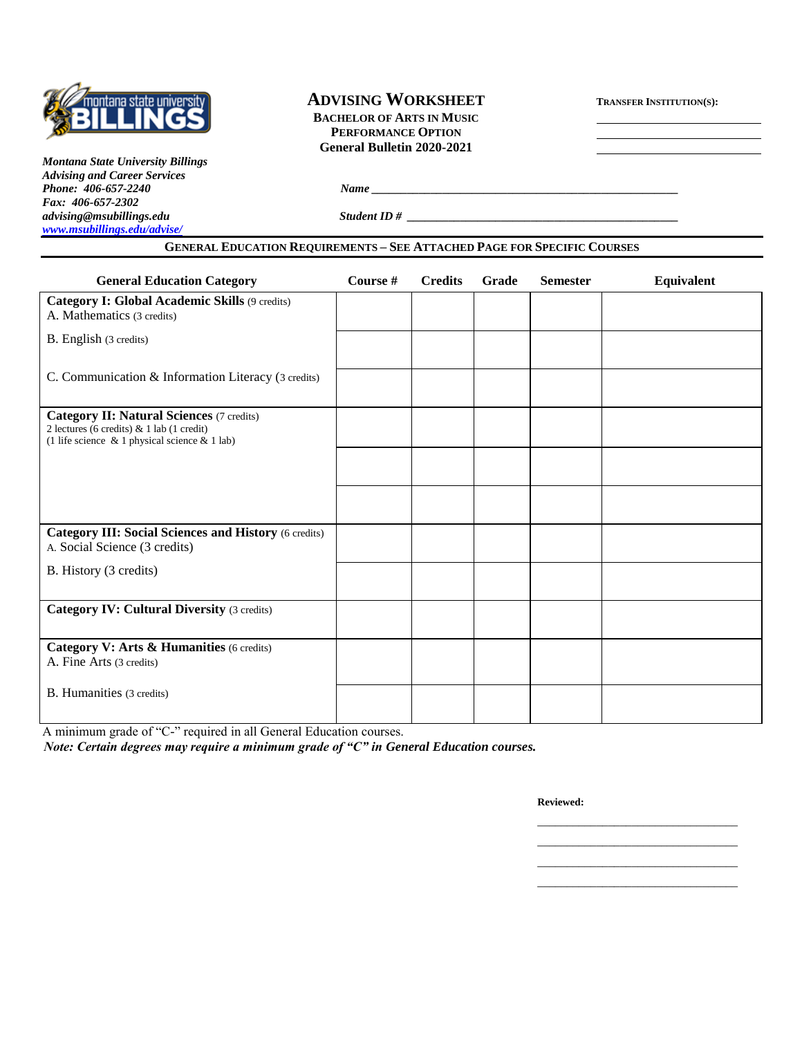

*[www.msubillings.edu/advise/](http://www.msubillings.edu/advise/)*

*Montana State University Billings Advising and Career Services Fax: 406-657-2302*

# **ADVISING WORKSHEET <sup>T</sup>RANSFER INSTITUTION(S):**

**BACHELOR OF ARTS IN MUSIC PERFORMANCE OPTION General Bulletin 2020-2021**

*Phone <u><i>Phone*</u> *<i>Phone <i>Phone <i>Phone <i>Phone <i>Phone <i> <i> <i> <i> <i> <i> <i> <i> <i> <i><b> <i> <i> <i> <i> <i> <i> <i> <i> <i>*

*advising@msubillings.edu Student ID # \_\_\_\_\_\_\_\_\_\_\_\_\_\_\_\_\_\_\_\_\_\_\_\_\_\_\_\_\_\_\_\_\_\_\_\_\_\_\_\_\_\_\_\_\_\_*

| <b>General Education Category</b>                                                                                                                       | Course # | <b>Credits</b> | Grade | <b>Semester</b> | <b>Equivalent</b> |
|---------------------------------------------------------------------------------------------------------------------------------------------------------|----------|----------------|-------|-----------------|-------------------|
| Category I: Global Academic Skills (9 credits)<br>A. Mathematics (3 credits)                                                                            |          |                |       |                 |                   |
| B. English (3 credits)                                                                                                                                  |          |                |       |                 |                   |
| C. Communication & Information Literacy (3 credits)                                                                                                     |          |                |       |                 |                   |
| <b>Category II: Natural Sciences (7 credits)</b><br>2 lectures (6 credits) $\&$ 1 lab (1 credit)<br>(1 life science $\&$ 1 physical science $\&$ 1 lab) |          |                |       |                 |                   |
|                                                                                                                                                         |          |                |       |                 |                   |
|                                                                                                                                                         |          |                |       |                 |                   |
| <b>Category III: Social Sciences and History (6 credits)</b><br>A. Social Science (3 credits)                                                           |          |                |       |                 |                   |
| B. History (3 credits)                                                                                                                                  |          |                |       |                 |                   |
| <b>Category IV: Cultural Diversity (3 credits)</b>                                                                                                      |          |                |       |                 |                   |
| Category V: Arts & Humanities (6 credits)<br>A. Fine Arts (3 credits)                                                                                   |          |                |       |                 |                   |
| B. Humanities (3 credits)                                                                                                                               |          |                |       |                 |                   |

A minimum grade of "C-" required in all General Education courses.

*Note: Certain degrees may require a minimum grade of "C" in General Education courses.*

**Reviewed:**

\_\_\_\_\_\_\_\_\_\_\_\_\_\_\_\_\_\_\_\_\_\_\_\_\_\_\_\_\_\_\_\_\_\_ \_\_\_\_\_\_\_\_\_\_\_\_\_\_\_\_\_\_\_\_\_\_\_\_\_\_\_\_\_\_\_\_\_\_

\_\_\_\_\_\_\_\_\_\_\_\_\_\_\_\_\_\_\_\_\_\_\_\_\_\_\_\_\_\_\_\_\_\_ \_\_\_\_\_\_\_\_\_\_\_\_\_\_\_\_\_\_\_\_\_\_\_\_\_\_\_\_\_\_\_\_\_\_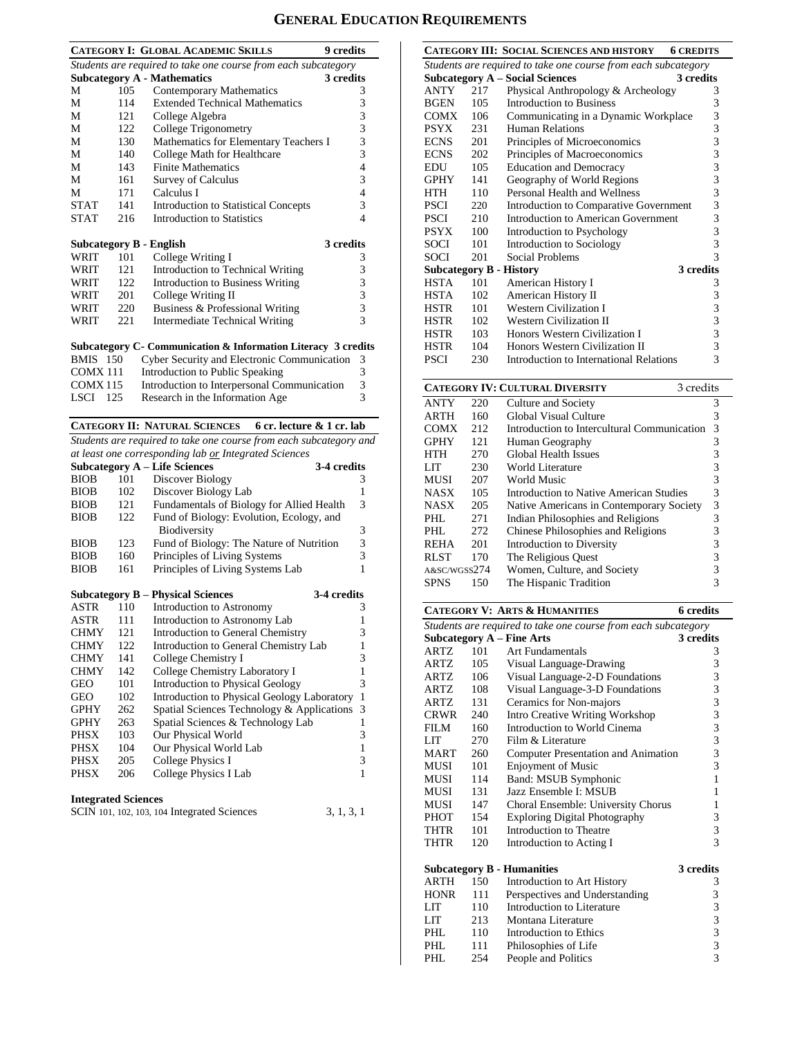# **GENERAL EDUCATION REQUIREMENTS**

|                                                 | <b>CATEGORY I: GLOBAL ACADEMIC SKILLS</b><br><b>9 credits</b> |                                                                |   |  |  |
|-------------------------------------------------|---------------------------------------------------------------|----------------------------------------------------------------|---|--|--|
|                                                 |                                                               | Students are required to take one course from each subcategory |   |  |  |
| <b>Subcategory A - Mathematics</b><br>3 credits |                                                               |                                                                |   |  |  |
| М                                               | 105                                                           | Contemporary Mathematics                                       | 3 |  |  |
| М                                               | 114                                                           | <b>Extended Technical Mathematics</b>                          | 3 |  |  |
| М                                               | 121                                                           | College Algebra                                                | 3 |  |  |
| М                                               | 122                                                           | College Trigonometry                                           | 3 |  |  |
| М                                               | 130                                                           | Mathematics for Elementary Teachers I                          | 3 |  |  |
| М                                               | 140                                                           | College Math for Healthcare                                    | 3 |  |  |
| М                                               | 143                                                           | <b>Finite Mathematics</b>                                      | 4 |  |  |
| М                                               | 161                                                           | <b>Survey of Calculus</b>                                      | 3 |  |  |
| М                                               | 171                                                           | Calculus I                                                     | 4 |  |  |
| <b>STAT</b>                                     | 141                                                           | <b>Introduction to Statistical Concepts</b>                    | 3 |  |  |
| <b>STAT</b>                                     | 216                                                           | Introduction to Statistics                                     | 4 |  |  |
| 3 credits<br>Subcategory B - English            |                                                               |                                                                |   |  |  |
|                                                 |                                                               |                                                                |   |  |  |
| WRIT                                            | 101                                                           | College Writing I                                              | 3 |  |  |
| WRIT                                            | 121                                                           | Introduction to Technical Writing                              | 3 |  |  |
| WRIT                                            | 122                                                           | Introduction to Business Writing                               | 3 |  |  |

|      |     | Suboatogowy C. Communication & Information Literacy, 3 and |   |
|------|-----|------------------------------------------------------------|---|
| WRIT | 221 | Intermediate Technical Writing                             |   |
| WRIT | 220 | Business & Professional Writing                            | 3 |
| WRIT | 201 | College Writing II                                         |   |

## **Subcategory C- Communication & Information Literacy 3 credits**

| <b>BMIS</b> 150 | <b>Cyber Security and Electronic Communication</b> | -3 |
|-----------------|----------------------------------------------------|----|
| <b>COMX 111</b> | Introduction to Public Speaking                    |    |
| <b>COMX 115</b> | Introduction to Interpersonal Communication        | 3  |
| <b>LSCI</b> 125 | Research in the Information Age                    |    |

**CATEGORY II: NATURAL SCIENCES 6 cr. lecture & 1 cr. lab**

*Students are required to take one course from each subcategory and at least one corresponding lab or Integrated Sciences*

| 3-4 credits                                    |
|------------------------------------------------|
|                                                |
|                                                |
| Fundamentals of Biology for Allied Health<br>3 |
| Fund of Biology: Evolution, Ecology, and       |
| 3                                              |
| Fund of Biology: The Nature of Nutrition<br>3  |
| 3                                              |
|                                                |
|                                                |

|             |     | <b>Subcategory B – Physical Sciences</b>    | 3-4 credits |              |
|-------------|-----|---------------------------------------------|-------------|--------------|
| <b>ASTR</b> | 110 | Introduction to Astronomy                   |             | 3            |
| <b>ASTR</b> | 111 | Introduction to Astronomy Lab               |             |              |
| <b>CHMY</b> | 121 | Introduction to General Chemistry           |             | 3            |
| <b>CHMY</b> | 122 | Introduction to General Chemistry Lab       |             |              |
| <b>CHMY</b> | 141 | College Chemistry I                         |             | 3            |
| <b>CHMY</b> | 142 | College Chemistry Laboratory I              |             |              |
| <b>GEO</b>  | 101 | <b>Introduction to Physical Geology</b>     |             | 3            |
| <b>GEO</b>  | 102 | Introduction to Physical Geology Laboratory |             | $\mathbf{1}$ |
| <b>GPHY</b> | 262 | Spatial Sciences Technology & Applications  |             | 3            |
| <b>GPHY</b> | 263 | Spatial Sciences & Technology Lab           |             |              |
| PHSX        | 103 | Our Physical World                          |             | 3            |
| <b>PHSX</b> | 104 | Our Physical World Lab                      |             |              |
| <b>PHSX</b> | 205 | College Physics I                           |             | 3            |
| PHSX        | 206 | College Physics I Lab                       |             |              |

#### **Integrated Sciences**

| SCIN 101, 102, 103, 104 Integrated Sciences | 3, 1, 3, 1 |
|---------------------------------------------|------------|
|---------------------------------------------|------------|

|             |     | CATEGORY III: SOCIAL SCIENCES AND HISTORY<br><b>6 CREDITS</b>  |                |
|-------------|-----|----------------------------------------------------------------|----------------|
|             |     | Students are required to take one course from each subcategory |                |
|             |     | <b>Subcategory A – Social Sciences</b><br>3 credits            |                |
| <b>ANTY</b> | 217 | Physical Anthropology & Archeology                             | 3              |
| BGEN        | 105 | Introduction to Business                                       | 3              |
| COMX        | 106 | Communicating in a Dynamic Workplace                           | 3              |
| PSYX        | 231 | <b>Human Relations</b>                                         | 3              |
| <b>ECNS</b> | 201 | Principles of Microeconomics                                   | 3              |
| <b>ECNS</b> | 202 | Principles of Macroeconomics                                   | 3              |
| <b>EDU</b>  | 105 | <b>Education and Democracy</b>                                 | $\frac{3}{3}$  |
| <b>GPHY</b> | 141 | Geography of World Regions                                     |                |
| <b>HTH</b>  | 110 | Personal Health and Wellness                                   | 3              |
| PSCI        | 220 | Introduction to Comparative Government                         | 3              |
| <b>PSCI</b> | 210 | Introduction to American Government                            | 3              |
| <b>PSYX</b> | 100 | Introduction to Psychology                                     | 3              |
| SOCI        | 101 | Introduction to Sociology                                      | $\overline{3}$ |
| <b>SOCI</b> | 201 | Social Problems                                                | 3              |
|             |     | 3 credits<br><b>Subcategory B - History</b>                    |                |
| <b>HSTA</b> | 101 | American History I                                             | 3              |
| <b>HSTA</b> | 102 | American History II                                            | 3              |
| <b>HSTR</b> | 101 | <b>Western Civilization I</b>                                  | 3              |
| <b>HSTR</b> | 102 | <b>Western Civilization II</b>                                 | 3              |
| <b>HSTR</b> | 103 | Honors Western Civilization I                                  | 3              |
| <b>HSTR</b> | 104 | Honors Western Civilization II                                 | 3              |
| <b>PSCI</b> | 230 | Introduction to International Relations                        | 3              |

| <b>CATEGORY IV: CULTURAL DIVERSITY</b><br>3 credits |     |                                             |   |
|-----------------------------------------------------|-----|---------------------------------------------|---|
| <b>ANTY</b>                                         | 220 | Culture and Society                         | 3 |
| <b>ARTH</b>                                         | 160 | Global Visual Culture                       | 3 |
| <b>COMX</b>                                         | 212 | Introduction to Intercultural Communication | 3 |
| <b>GPHY</b>                                         | 121 | Human Geography                             | 3 |
| <b>HTH</b>                                          | 270 | Global Health Issues                        | 3 |
| LIT                                                 | 230 | World Literature                            | 3 |
| <b>MUSI</b>                                         | 207 | World Music                                 | 3 |
| <b>NASX</b>                                         | 105 | Introduction to Native American Studies     | 3 |
| <b>NASX</b>                                         | 205 | Native Americans in Contemporary Society    | 3 |
| PHL                                                 | 271 | Indian Philosophies and Religions           | 3 |
| PHL                                                 | 272 | Chinese Philosophies and Religions          | 3 |
| <b>REHA</b>                                         | 201 | Introduction to Diversity                   | 3 |
| <b>RLST</b>                                         | 170 | The Religious Quest                         | 3 |
| A&SC/WGSS274                                        |     | Women, Culture, and Society                 | 3 |
| <b>SPNS</b>                                         | 150 | The Hispanic Tradition                      | 3 |

#### **CATEGORY V: ARTS & HUMANITIES 6 credits** *Students are required to take one course from each subcategory* **Subcategory A** – **Fine Arts 3** credits<br>
ARTZ 101 Art Fundamentals 3 ARTZ 101 Art Fundamentals 3<br>ARTZ 105 Visual Language-Drawing 3 Visual Language-Drawing ARTZ 106 Visual Language-2-D Foundations 3<br>ARTZ 108 Visual Language-3-D Foundations 3 108 Visual Language-3-D Foundations ARTZ 131 Ceramics for Non-majors 3 CRWR 240 Intro Creative Writing Workshop 3<br>FILM 160 Introduction to World Cinema 3 FILM 160 Introduction to World Cinema 3<br>
LIT 270 Film & Literature 3 Film & Literature MART 260 Computer Presentation and Animation 3 MUSI 101 Enjoyment of Music 3 MUSI 114 Band: MSUB Symphonic 1<br>MUSI 131 Jazz Ensemble I: MSUB 1 Jazz Ensemble I: MSUB 1 MUSI 147 Choral Ensemble: University Chorus 1<br>PHOT 154 Exploring Digital Photography 3 PHOT 154 Exploring Digital Photography 3<br>THTR 101 Introduction to Theatre 3 Introduction to Theatre THTR 120 Introduction to Acting I 3 **Subcategory B - Humanities 3 credits** ARTH 150 Introduction to Art History 3 HONR 111 Perspectives and Understanding 3<br>LIT 110 Introduction to Literature 3 Introduction to Literature LIT 213 Montana Literature 3 PHL 110 Introduction to Ethics 3 PHL 111 Philosophies of Life 3 PHL 254 People and Politics 3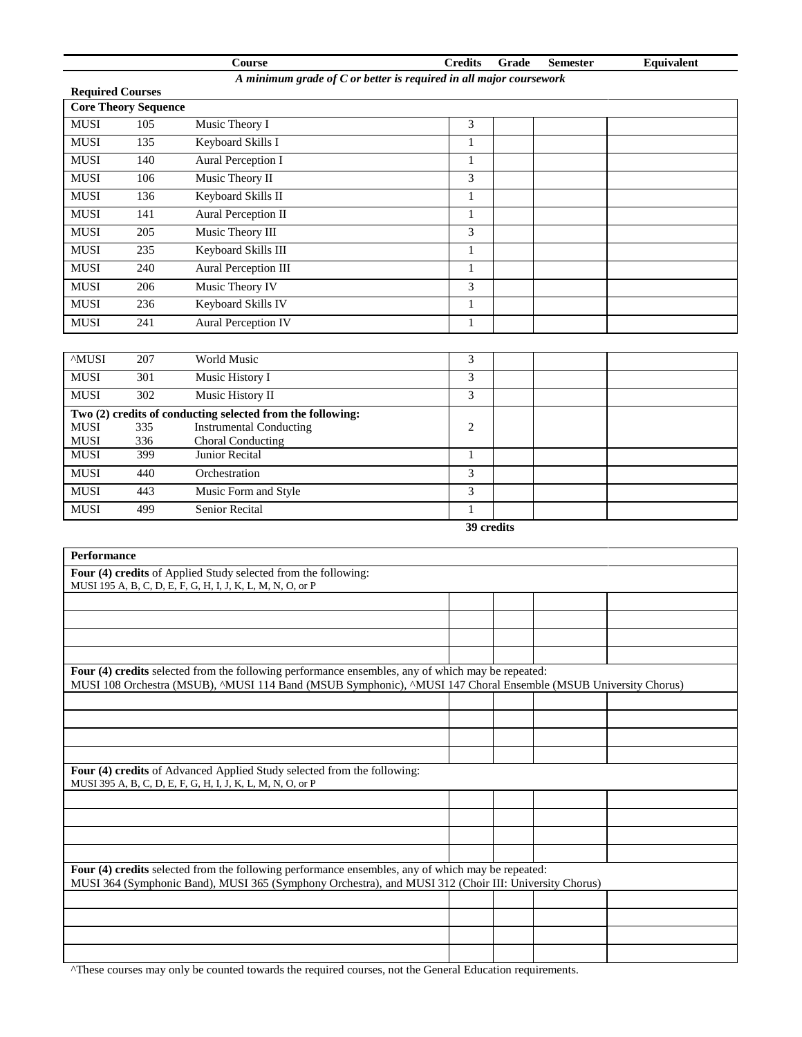# **Course Credits Grade Semester Equivalent** *A minimum grade of C or better is required in all major coursework* **Required Courses Core Theory Sequence** MUSI 105 Music Theory I 3 MUSI 135 Keyboard Skills I 1 MUSI 140 Aural Perception I 1 MUSI 106 Music Theory II 3 MUSI 136 Keyboard Skills II 1 MUSI 141 Aural Perception II 1 MUSI 205 Music Theory III 3

MUSI 235 Keyboard Skills III 1 MUSI 240 Aural Perception III 1 MUSI 206 Music Theory IV 3 MUSI 236 Keyboard Skills IV 1 MUSI 241 Aural Perception IV 1

| <b>AMUSI</b> | 207 | World Music                                                | 3          |  |
|--------------|-----|------------------------------------------------------------|------------|--|
| <b>MUSI</b>  | 301 | Music History I                                            | 3          |  |
| <b>MUSI</b>  | 302 | Music History II                                           | 3          |  |
|              |     | Two (2) credits of conducting selected from the following: |            |  |
| <b>MUSI</b>  | 335 | <b>Instrumental Conducting</b>                             | 2          |  |
| <b>MUSI</b>  | 336 | Choral Conducting                                          |            |  |
| <b>MUSI</b>  | 399 | Junior Recital                                             |            |  |
| <b>MUSI</b>  | 440 | Orchestration                                              | 3          |  |
| <b>MUSI</b>  | 443 | Music Form and Style                                       | 3          |  |
| <b>MUSI</b>  | 499 | <b>Senior Recital</b>                                      |            |  |
|              |     |                                                            | 39 credits |  |

| <b>Performance</b>                                                                                                                                                                                                  |  |  |
|---------------------------------------------------------------------------------------------------------------------------------------------------------------------------------------------------------------------|--|--|
| Four (4) credits of Applied Study selected from the following:                                                                                                                                                      |  |  |
| MUSI 195 A, B, C, D, E, F, G, H, I, J, K, L, M, N, O, or P                                                                                                                                                          |  |  |
|                                                                                                                                                                                                                     |  |  |
|                                                                                                                                                                                                                     |  |  |
|                                                                                                                                                                                                                     |  |  |
|                                                                                                                                                                                                                     |  |  |
| Four (4) credits selected from the following performance ensembles, any of which may be repeated:<br>MUSI 108 Orchestra (MSUB), ^MUSI 114 Band (MSUB Symphonic), ^MUSI 147 Choral Ensemble (MSUB University Chorus) |  |  |
|                                                                                                                                                                                                                     |  |  |
|                                                                                                                                                                                                                     |  |  |
|                                                                                                                                                                                                                     |  |  |
|                                                                                                                                                                                                                     |  |  |
| Four (4) credits of Advanced Applied Study selected from the following:<br>MUSI 395 A, B, C, D, E, F, G, H, I, J, K, L, M, N, O, or P                                                                               |  |  |
|                                                                                                                                                                                                                     |  |  |
|                                                                                                                                                                                                                     |  |  |
|                                                                                                                                                                                                                     |  |  |
|                                                                                                                                                                                                                     |  |  |
| Four (4) credits selected from the following performance ensembles, any of which may be repeated:<br>MUSI 364 (Symphonic Band), MUSI 365 (Symphony Orchestra), and MUSI 312 (Choir III: University Chorus)          |  |  |
|                                                                                                                                                                                                                     |  |  |
|                                                                                                                                                                                                                     |  |  |
|                                                                                                                                                                                                                     |  |  |
|                                                                                                                                                                                                                     |  |  |

^These courses may only be counted towards the required courses, not the General Education requirements.